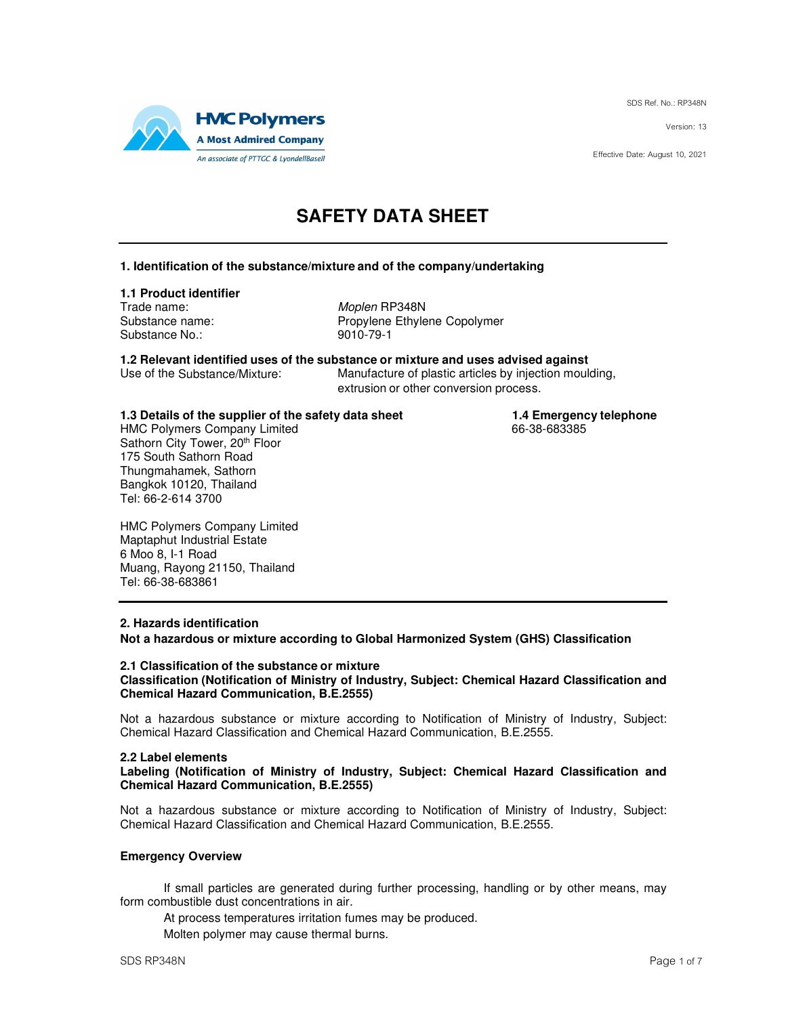SDS Ref. No.: RP348N

Version: 13

Effective Date: August 10, 2021



# **SAFETY DATA SHEET**

### **1. Identification of the substance/mixture and of the company/undertaking**

### **1.1 Product identifier**

Trade name: Moplen RP348N Substance No.: 9010-79-1

Substance name: Propylene Ethylene Copolymer

**1.2 Relevant identified uses of the substance or mixture and uses advised against** Manufacture of plastic articles by injection moulding,

extrusion or other conversion process.

# **1.3 Details of the supplier of the safety data sheet 1.4 Emergency telephone**<br>HMC Polymers Company Limited **1.4 Emergency telephone**

HMC Polymers Company Limited Sathorn City Tower, 20th Floor 175 South Sathorn Road Thungmahamek, Sathorn Bangkok 10120, Thailand Tel: 66-2-614 3700

HMC Polymers Company Limited Maptaphut Industrial Estate 6 Moo 8, I-1 Road Muang, Rayong 21150, Thailand Tel: 66-38-683861

### **2. Hazards identification**

**Not a hazardous or mixture according to Global Harmonized System (GHS) Classification** 

#### **2.1 Classification of the substance or mixture Classification (Notification of Ministry of Industry, Subject: Chemical Hazard Classification and Chemical Hazard Communication, B.E.2555)**

Not a hazardous substance or mixture according to Notification of Ministry of Industry, Subject: Chemical Hazard Classification and Chemical Hazard Communication, B.E.2555.

### **2.2 Label elements**

**Labeling (Notification of Ministry of Industry, Subject: Chemical Hazard Classification and Chemical Hazard Communication, B.E.2555)** 

Not a hazardous substance or mixture according to Notification of Ministry of Industry, Subject: Chemical Hazard Classification and Chemical Hazard Communication, B.E.2555.

### **Emergency Overview**

If small particles are generated during further processing, handling or by other means, may form combustible dust concentrations in air.

At process temperatures irritation fumes may be produced.

Molten polymer may cause thermal burns.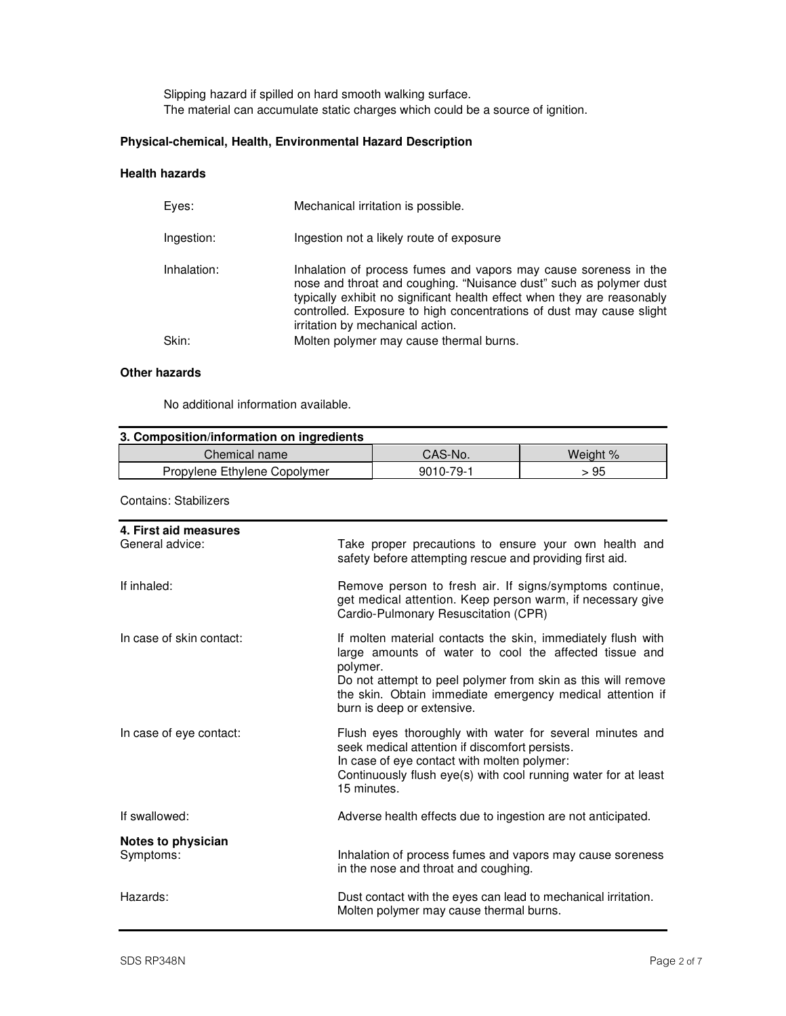Slipping hazard if spilled on hard smooth walking surface. The material can accumulate static charges which could be a source of ignition.

# **Physical-chemical, Health, Environmental Hazard Description**

### **Health hazards**

| Eves:       | Mechanical irritation is possible.                                                                                                                                                                                                                                                                                            |
|-------------|-------------------------------------------------------------------------------------------------------------------------------------------------------------------------------------------------------------------------------------------------------------------------------------------------------------------------------|
| Ingestion:  | Ingestion not a likely route of exposure                                                                                                                                                                                                                                                                                      |
| Inhalation: | Inhalation of process fumes and vapors may cause soreness in the<br>nose and throat and coughing. "Nuisance dust" such as polymer dust<br>typically exhibit no significant health effect when they are reasonably<br>controlled. Exposure to high concentrations of dust may cause slight<br>irritation by mechanical action. |
| Skin:       | Molten polymer may cause thermal burns.                                                                                                                                                                                                                                                                                       |
|             |                                                                                                                                                                                                                                                                                                                               |

### **Other hazards**

No additional information available.

| 3. Composition/information on ingredients |           |          |
|-------------------------------------------|-----------|----------|
| Chemical name                             | CAS-No.   | Weight % |
| Propylene Ethylene Copolymer              | 9010-79-1 | > 95     |

Contains: Stabilizers

| 4. First aid measures<br>General advice: | Take proper precautions to ensure your own health and<br>safety before attempting rescue and providing first aid.                                                                                                                                                                             |
|------------------------------------------|-----------------------------------------------------------------------------------------------------------------------------------------------------------------------------------------------------------------------------------------------------------------------------------------------|
| If inhaled:                              | Remove person to fresh air. If signs/symptoms continue,<br>get medical attention. Keep person warm, if necessary give<br>Cardio-Pulmonary Resuscitation (CPR)                                                                                                                                 |
| In case of skin contact:                 | If molten material contacts the skin, immediately flush with<br>large amounts of water to cool the affected tissue and<br>polymer.<br>Do not attempt to peel polymer from skin as this will remove<br>the skin. Obtain immediate emergency medical attention if<br>burn is deep or extensive. |
| In case of eye contact:                  | Flush eyes thoroughly with water for several minutes and<br>seek medical attention if discomfort persists.<br>In case of eye contact with molten polymer:<br>Continuously flush eye(s) with cool running water for at least<br>15 minutes.                                                    |
| If swallowed:                            | Adverse health effects due to ingestion are not anticipated.                                                                                                                                                                                                                                  |
| Notes to physician<br>Symptoms:          | Inhalation of process fumes and vapors may cause soreness<br>in the nose and throat and coughing.                                                                                                                                                                                             |
| Hazards:                                 | Dust contact with the eyes can lead to mechanical irritation.<br>Molten polymer may cause thermal burns.                                                                                                                                                                                      |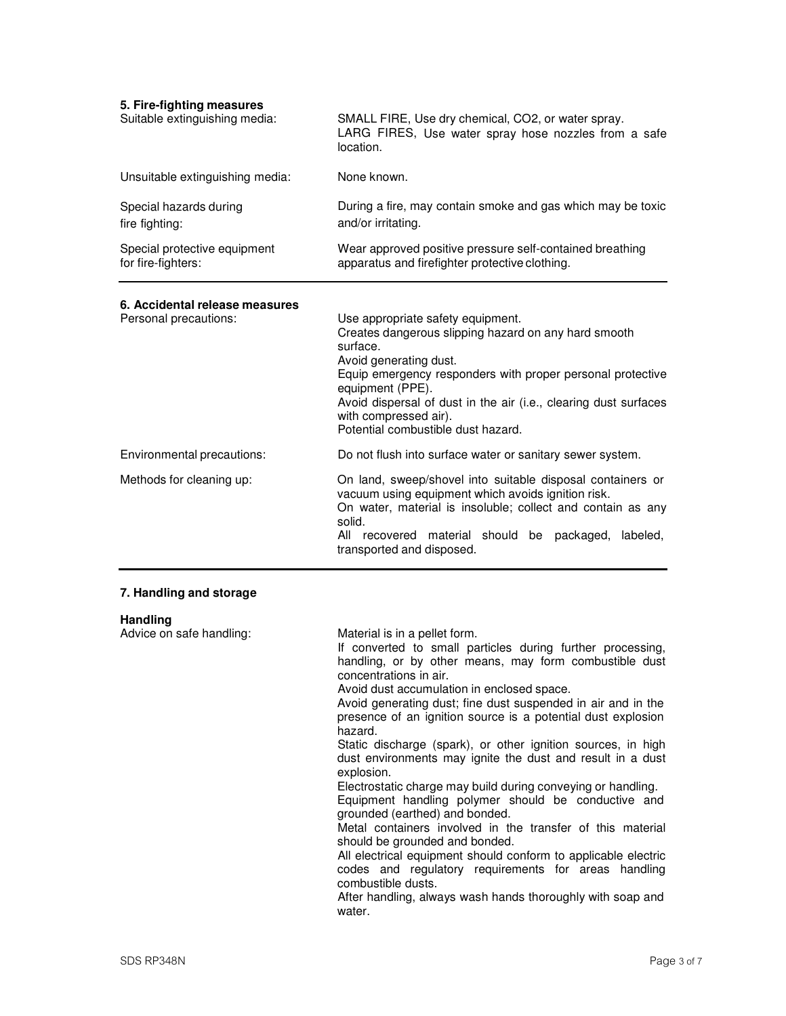| 5. Fire-fighting measures<br>Suitable extinguishing media: | SMALL FIRE, Use dry chemical, CO2, or water spray.<br>LARG FIRES, Use water spray hose nozzles from a safe<br>location.                                                                                                                                                                                                                                                                                                                                                                                                                                                                                                                                                                                                                                                       |
|------------------------------------------------------------|-------------------------------------------------------------------------------------------------------------------------------------------------------------------------------------------------------------------------------------------------------------------------------------------------------------------------------------------------------------------------------------------------------------------------------------------------------------------------------------------------------------------------------------------------------------------------------------------------------------------------------------------------------------------------------------------------------------------------------------------------------------------------------|
| Unsuitable extinguishing media:                            | None known.                                                                                                                                                                                                                                                                                                                                                                                                                                                                                                                                                                                                                                                                                                                                                                   |
| Special hazards during<br>fire fighting:                   | During a fire, may contain smoke and gas which may be toxic<br>and/or irritating.                                                                                                                                                                                                                                                                                                                                                                                                                                                                                                                                                                                                                                                                                             |
| Special protective equipment<br>for fire-fighters:         | Wear approved positive pressure self-contained breathing<br>apparatus and firefighter protective clothing.                                                                                                                                                                                                                                                                                                                                                                                                                                                                                                                                                                                                                                                                    |
| 6. Accidental release measures<br>Personal precautions:    | Use appropriate safety equipment.<br>Creates dangerous slipping hazard on any hard smooth<br>surface.<br>Avoid generating dust.<br>Equip emergency responders with proper personal protective<br>equipment (PPE).<br>Avoid dispersal of dust in the air (i.e., clearing dust surfaces<br>with compressed air).<br>Potential combustible dust hazard.                                                                                                                                                                                                                                                                                                                                                                                                                          |
| Environmental precautions:                                 | Do not flush into surface water or sanitary sewer system.                                                                                                                                                                                                                                                                                                                                                                                                                                                                                                                                                                                                                                                                                                                     |
| Methods for cleaning up:                                   | On land, sweep/shovel into suitable disposal containers or<br>vacuum using equipment which avoids ignition risk.<br>On water, material is insoluble; collect and contain as any<br>solid.<br>All recovered material should be packaged,<br>labeled,<br>transported and disposed.                                                                                                                                                                                                                                                                                                                                                                                                                                                                                              |
| 7. Handling and storage                                    |                                                                                                                                                                                                                                                                                                                                                                                                                                                                                                                                                                                                                                                                                                                                                                               |
| <b>Handling</b><br>Advice on safe handling:                | Material is in a pellet form.<br>If converted to small particles during further processing,<br>handling, or by other means, may form combustible dust<br>concentrations in air.<br>Avoid dust accumulation in enclosed space.<br>Avoid generating dust; fine dust suspended in air and in the<br>presence of an ignition source is a potential dust explosion<br>hazard.<br>Static discharge (spark), or other ignition sources, in high<br>dust environments may ignite the dust and result in a dust<br>explosion.<br>Electrostatic charge may build during conveying or handling.<br>Equipment handling polymer should be conductive and<br>grounded (earthed) and bonded.<br>Metal containers involved in the transfer of this material<br>should be grounded and bonded. |

All electrical equipment should conform to applicable electric codes and regulatory requirements for areas handling combustible dusts.

After handling, always wash hands thoroughly with soap and water.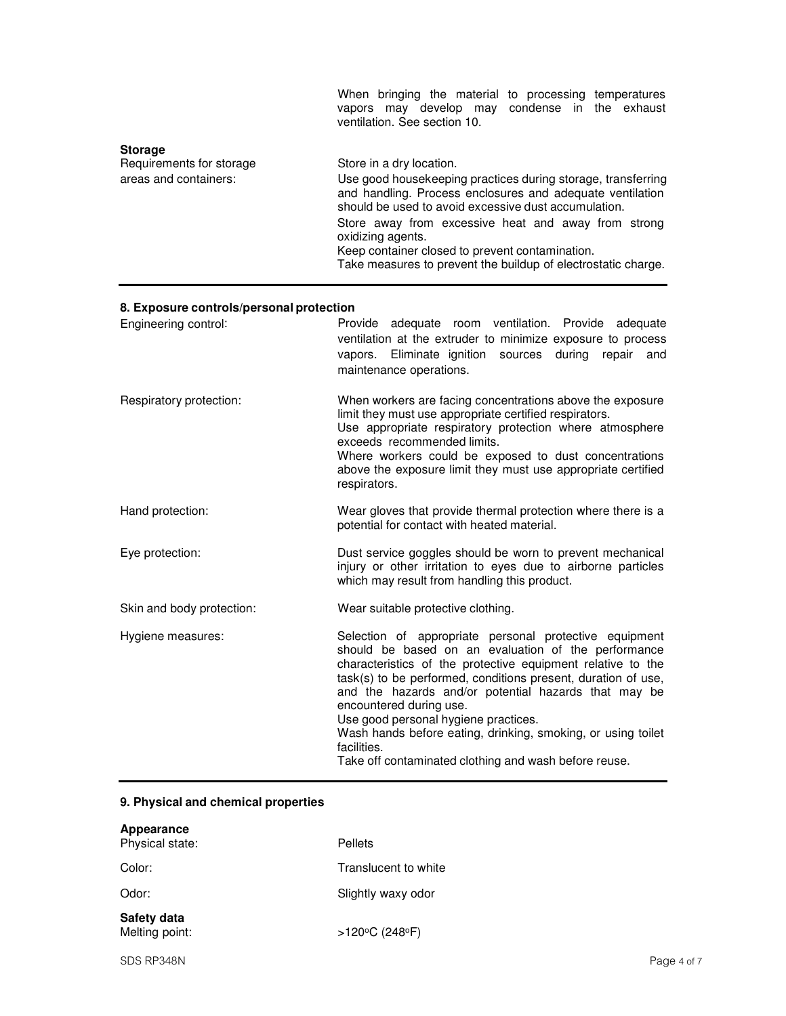|                                                                     | When bringing the material to processing temperatures<br>vapors may develop may condense in the exhaust<br>ventilation. See section 10.                                                                                                                                                                                                                                                                       |
|---------------------------------------------------------------------|---------------------------------------------------------------------------------------------------------------------------------------------------------------------------------------------------------------------------------------------------------------------------------------------------------------------------------------------------------------------------------------------------------------|
| <b>Storage</b><br>Requirements for storage<br>areas and containers: | Store in a dry location.<br>Use good housekeeping practices during storage, transferring<br>and handling. Process enclosures and adequate ventilation<br>should be used to avoid excessive dust accumulation.<br>Store away from excessive heat and away from strong<br>oxidizing agents.<br>Keep container closed to prevent contamination.<br>Take measures to prevent the buildup of electrostatic charge. |

# **8. Exposure controls/personal protection**

| Engineering control:      | Provide adequate room ventilation. Provide adequate<br>ventilation at the extruder to minimize exposure to process<br>vapors. Eliminate ignition sources during<br>repair<br>and<br>maintenance operations.                                                                                                                                                                                                                                                                                                      |
|---------------------------|------------------------------------------------------------------------------------------------------------------------------------------------------------------------------------------------------------------------------------------------------------------------------------------------------------------------------------------------------------------------------------------------------------------------------------------------------------------------------------------------------------------|
| Respiratory protection:   | When workers are facing concentrations above the exposure<br>limit they must use appropriate certified respirators.<br>Use appropriate respiratory protection where atmosphere<br>exceeds recommended limits.<br>Where workers could be exposed to dust concentrations<br>above the exposure limit they must use appropriate certified<br>respirators.                                                                                                                                                           |
| Hand protection:          | Wear gloves that provide thermal protection where there is a<br>potential for contact with heated material.                                                                                                                                                                                                                                                                                                                                                                                                      |
| Eye protection:           | Dust service goggles should be worn to prevent mechanical<br>injury or other irritation to eyes due to airborne particles<br>which may result from handling this product.                                                                                                                                                                                                                                                                                                                                        |
| Skin and body protection: | Wear suitable protective clothing.                                                                                                                                                                                                                                                                                                                                                                                                                                                                               |
| Hygiene measures:         | Selection of appropriate personal protective equipment<br>should be based on an evaluation of the performance<br>characteristics of the protective equipment relative to the<br>task(s) to be performed, conditions present, duration of use,<br>and the hazards and/or potential hazards that may be<br>encountered during use.<br>Use good personal hygiene practices.<br>Wash hands before eating, drinking, smoking, or using toilet<br>facilities.<br>Take off contaminated clothing and wash before reuse. |

# **9. Physical and chemical properties**

| Appearance<br>Physical state: | Pellets                             |
|-------------------------------|-------------------------------------|
| Color:                        | Translucent to white                |
| Odor:                         | Slightly waxy odor                  |
| Safety data<br>Melting point: | $>120^{\circ}$ C (248 $^{\circ}$ F) |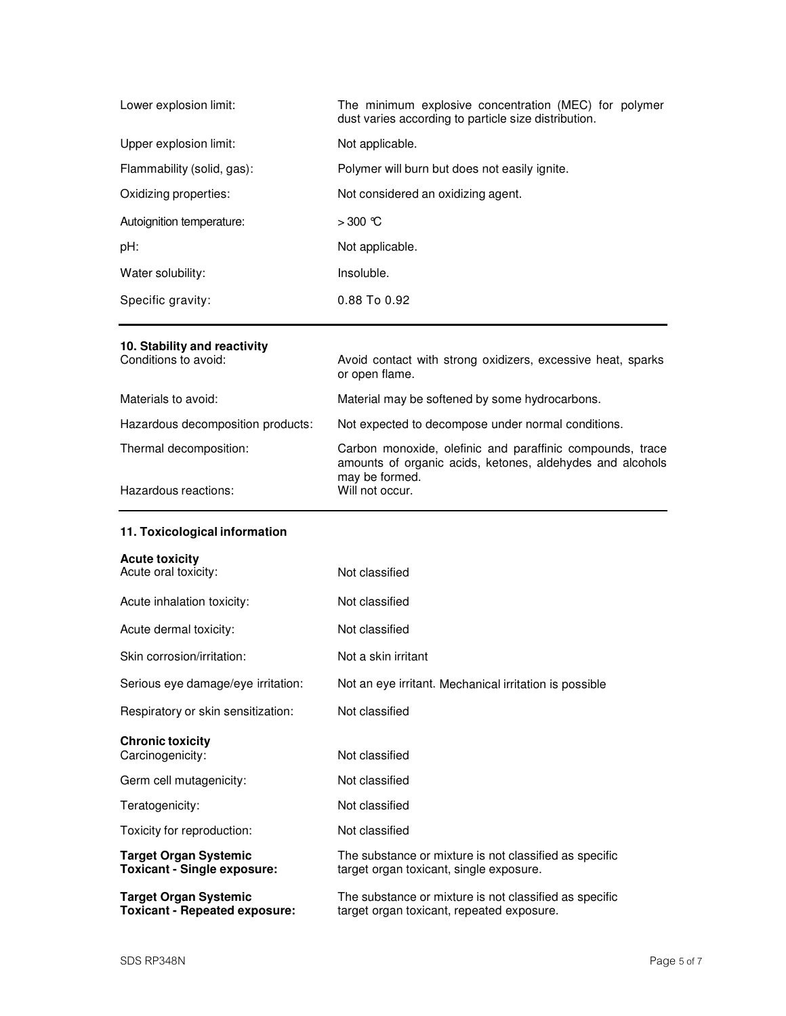| Lower explosion limit:     | The minimum explosive concentration (MEC) for polymer<br>dust varies according to particle size distribution. |
|----------------------------|---------------------------------------------------------------------------------------------------------------|
| Upper explosion limit:     | Not applicable.                                                                                               |
| Flammability (solid, gas): | Polymer will burn but does not easily ignite.                                                                 |
| Oxidizing properties:      | Not considered an oxidizing agent.                                                                            |
| Autoignition temperature:  | $>300$ °C                                                                                                     |
| pH:                        | Not applicable.                                                                                               |
| Water solubility:          | Insoluble.                                                                                                    |
| Specific gravity:          | $0.88$ To $0.92$                                                                                              |

# **10. Stability and reactivity**

| Conditions to avoid:              | Avoid contact with strong oxidizers, excessive heat, sparks<br>or open flame.                                                            |
|-----------------------------------|------------------------------------------------------------------------------------------------------------------------------------------|
| Materials to avoid:               | Material may be softened by some hydrocarbons.                                                                                           |
| Hazardous decomposition products: | Not expected to decompose under normal conditions.                                                                                       |
| Thermal decomposition:            | Carbon monoxide, olefinic and paraffinic compounds, trace<br>amounts of organic acids, ketones, aldehydes and alcohols<br>may be formed. |
| Hazardous reactions:              | Will not occur.                                                                                                                          |

# **11. Toxicological information**

| <b>Acute toxicity</b><br>Acute oral toxicity:                        | Not classified                                                                                      |
|----------------------------------------------------------------------|-----------------------------------------------------------------------------------------------------|
| Acute inhalation toxicity:                                           | Not classified                                                                                      |
| Acute dermal toxicity:                                               | Not classified                                                                                      |
| Skin corrosion/irritation:                                           | Not a skin irritant                                                                                 |
| Serious eye damage/eye irritation:                                   | Not an eye irritant. Mechanical irritation is possible                                              |
| Respiratory or skin sensitization:                                   | Not classified                                                                                      |
| <b>Chronic toxicity</b><br>Carcinogenicity:                          | Not classified                                                                                      |
| Germ cell mutagenicity:                                              | Not classified                                                                                      |
| Teratogenicity:                                                      | Not classified                                                                                      |
| Toxicity for reproduction:                                           | Not classified                                                                                      |
| <b>Target Organ Systemic</b><br><b>Toxicant - Single exposure:</b>   | The substance or mixture is not classified as specific<br>target organ toxicant, single exposure.   |
| <b>Target Organ Systemic</b><br><b>Toxicant - Repeated exposure:</b> | The substance or mixture is not classified as specific<br>target organ toxicant, repeated exposure. |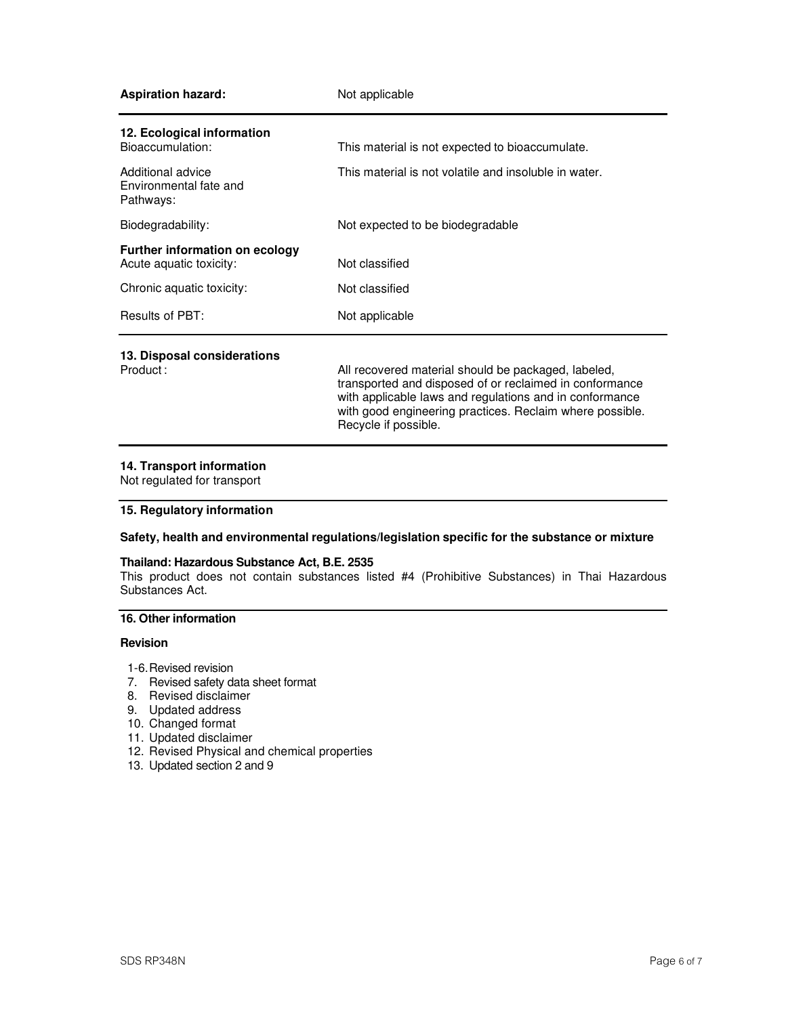| <b>Aspiration hazard:</b>                                        | Not applicable                                                                                                                                                                                                                        |
|------------------------------------------------------------------|---------------------------------------------------------------------------------------------------------------------------------------------------------------------------------------------------------------------------------------|
| 12. Ecological information<br>Bioaccumulation:                   | This material is not expected to bioaccumulate.                                                                                                                                                                                       |
| Additional advice<br>Environmental fate and<br>Pathways:         | This material is not volatile and insoluble in water.                                                                                                                                                                                 |
| Biodegradability:                                                | Not expected to be biodegradable                                                                                                                                                                                                      |
| <b>Further information on ecology</b><br>Acute aquatic toxicity: | Not classified                                                                                                                                                                                                                        |
| Chronic aquatic toxicity:                                        | Not classified                                                                                                                                                                                                                        |
| Results of PBT:                                                  | Not applicable                                                                                                                                                                                                                        |
| 13. Disposal considerations<br>Product:                          | All recovered material should be packaged, labeled,<br>transported and disposed of or reclaimed in conformance<br>with applicable laws and regulations and in conformance<br>with good engineering practices. Reclaim where possible. |

## **14. Transport information**

Not regulated for transport

## **15. Regulatory information**

## **Safety, health and environmental regulations/legislation specific for the substance or mixture**

Recycle if possible.

### **Thailand: Hazardous Substance Act, B.E. 2535**

This product does not contain substances listed #4 (Prohibitive Substances) in Thai Hazardous Substances Act.

# **16. Other information**

### **Revision**

- 1-6. Revised revision
- 7. Revised safety data sheet format
- 8. Revised disclaimer
- 9. Updated address
- 10. Changed format
- 11. Updated disclaimer
- 12. Revised Physical and chemical properties
- 13. Updated section 2 and 9